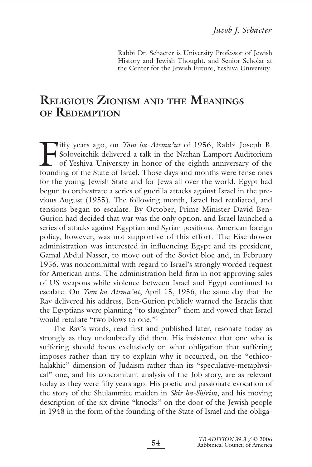Rabbi Dr. Schacter is University Professor of Jewish History and Jewish Thought, and Senior Scholar at the Center for the Jewish Future, Yeshiva University.

# **RELIGIOUS ZIONISM AND THE MEANINGS OF REDEMPTION**

Fifty years ago, on *Yom ha-Atsma'ut* of 1956, Rabbi Joseph B.<br>Soloveitchik delivered a talk in the Nathan Lamport Auditorium<br>of Yeshiva University in honor of the eighth anniversary of the Soloveitchik delivered a talk in the Nathan Lamport Auditorium founding of the State of Israel. Those days and months were tense ones for the young Jewish State and for Jews all over the world. Egypt had begun to orchestrate a series of guerilla attacks against Israel in the previous August (1955). The following month, Israel had retaliated, and tensions began to escalate. By October, Prime Minister David Ben-Gurion had decided that war was the only option, and Israel launched a series of attacks against Egyptian and Syrian positions. American foreign policy, however, was not supportive of this effort. The Eisenhower administration was interested in influencing Egypt and its president, Gamal Abdul Nasser, to move out of the Soviet bloc and, in February 1956, was noncommittal with regard to Israel's strongly worded request for American arms. The administration held firm in not approving sales of US weapons while violence between Israel and Egypt continued to escalate. On *Yom ha-Atsma'ut*, April 15, 1956, the same day that the Rav delivered his address, Ben-Gurion publicly warned the Israelis that the Egyptians were planning "to slaughter" them and vowed that Israel would retaliate "two blows to one."<sup>1</sup>

The Rav's words, read first and published later, resonate today as strongly as they undoubtedly did then. His insistence that one who is suffering should focus exclusively on what obligation that suffering imposes rather than try to explain why it occurred, on the "ethicohalakhic" dimension of Judaism rather than its "speculative-metaphysical" one, and his concomitant analysis of the Job story, are as relevant today as they were fifty years ago. His poetic and passionate evocation of the story of the Shulammite maiden in *Shir ha-Shirim*, and his moving description of the six divine "knocks" on the door of the Jewish people in 1948 in the form of the founding of the State of Israel and the obliga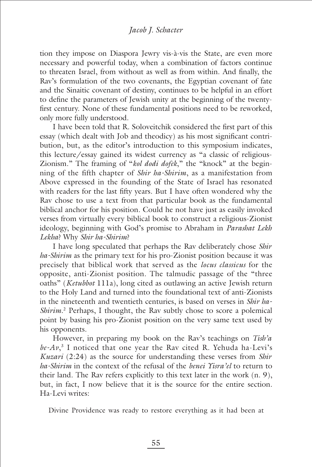tion they impose on Diaspora Jewry vis-à-vis the State, are even more necessary and powerful today, when a combination of factors continue to threaten Israel, from without as well as from within. And finally, the Rav's formulation of the two covenants, the Egyptian covenant of fate and the Sinaitic covenant of destiny, continues to be helpful in an effort to define the parameters of Jewish unity at the beginning of the twentyfirst century. None of these fundamental positions need to be reworked, only more fully understood.

I have been told that R. Soloveitchik considered the first part of this essay (which dealt with Job and theodicy) as his most significant contribution, but, as the editor's introduction to this symposium indicates, this lecture/essay gained its widest currency as "a classic of religious-Zionism." The framing of "*kol dodi dofek*," the "knock" at the beginning of the fifth chapter of *Shir ha-Shirim*, as a manifestation from Above expressed in the founding of the State of Israel has resonated with readers for the last fifty years. But I have often wondered why the Rav chose to use a text from that particular book as the fundamental biblical anchor for his position. Could he not have just as easily invoked verses from virtually every biblical book to construct a religious-Zionist ideology, beginning with God's promise to Abraham in *Parashat Lekh Lekha*? Why *Shir ha-Shirim*?

I have long speculated that perhaps the Rav deliberately chose *Shir ha-Shirim* as the primary text for his pro-Zionist position because it was precisely that biblical work that served as the *locus classicus* for the opposite, anti-Zionist position. The talmudic passage of the "three oaths" (*Ketubbot* 111a), long cited as outlawing an active Jewish return to the Holy Land and turned into the foundational text of anti-Zionists in the nineteenth and twentieth centuries, is based on verses in *Shir ha-Shirim*<sup>2</sup> Perhaps, I thought, the Rav subtly chose to score a polemical point by basing his pro-Zionist position on the very same text used by his opponents.

However, in preparing my book on the Rav's teachings on *Tish'a be-Av*, <sup>3</sup> I noticed that one year the Rav cited R. Yehuda ha-Levi's *Kuzari* (2:24) as the source for understanding these verses from *Shir ha-Shirim* in the context of the refusal of the *benei Yisra'el* to return to their land. The Rav refers explicitly to this text later in the work (n. 9), but, in fact, I now believe that it is the source for the entire section. Ha-Levi writes:

Divine Providence was ready to restore everything as it had been at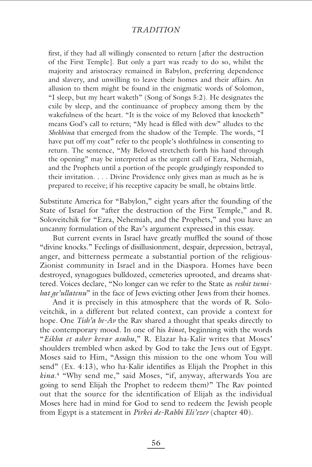## *TRADITION*

first, if they had all willingly consented to return [after the destruction of the First Temple]. But only a part was ready to do so, whilst the majority and aristocracy remained in Babylon, preferring dependence and slavery, and unwilling to leave their homes and their affairs. An allusion to them might be found in the enigmatic words of Solomon, "I sleep, but my heart waketh" (Song of Songs 5:2). He designates the exile by sleep, and the continuance of prophecy among them by the wakefulness of the heart. "It is the voice of my Beloved that knocketh" means God's call to return; "My head is filled with dew" alludes to the *Shekhina* that emerged from the shadow of the Temple. The words, "I have put off my coat" refer to the people's slothfulness in consenting to return. The sentence, "My Beloved stretcheth forth his hand through the opening" may be interpreted as the urgent call of Ezra, Nehemiah, and the Prophets until a portion of the people grudgingly responded to their invitation. . . . Divine Providence only gives man as much as he is prepared to receive; if his receptive capacity be small, he obtains little.

Substitute America for "Babylon," eight years after the founding of the State of Israel for "after the destruction of the First Temple," and R. Soloveitchik for "Ezra, Nehemiah, and the Prophets," and you have an uncanny formulation of the Rav's argument expressed in this essay.

But current events in Israel have greatly muffled the sound of those "divine knocks." Feelings of disillusionment, despair, depression, betrayal, anger, and bitterness permeate a substantial portion of the religious-Zionist community in Israel and in the Diaspora. Homes have been destroyed, synagogues bulldozed, cemeteries uprooted, and dreams shattered. Voices declare, "No longer can we refer to the State as *reshit tsemihat ge'ullatenu*" in the face of Jews evicting other Jews from their homes.

And it is precisely in this atmosphere that the words of R. Soloveitchik, in a different but related context, can provide a context for hope. One *Tish'a be-Av* the Rav shared a thought that speaks directly to the contemporary mood. In one of his *kinot*, beginning with the words "*Eikha et asher kevar asuhu*," R. Elazar ha-Kalir writes that Moses' shoulders trembled when asked by God to take the Jews out of Egypt. Moses said to Him, "Assign this mission to the one whom You will send" (Ex. 4:13), who ha-Kalir identifies as Elijah the Prophet in this *kina*. <sup>4</sup> "Why send me," said Moses, "if, anyway, afterwards You are going to send Elijah the Prophet to redeem them?" The Rav pointed out that the source for the identification of Elijah as the individual Moses here had in mind for God to send to redeem the Jewish people from Egypt is a statement in *Pirkei de-Rabbi Eli'ezer* (chapter 40).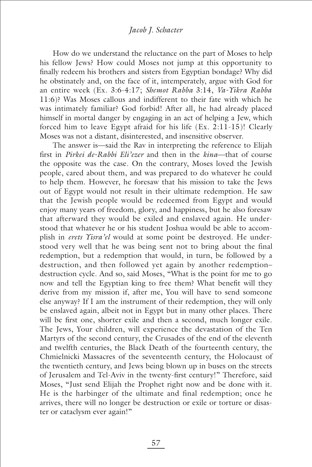### *Jacob J. Schacter*

How do we understand the reluctance on the part of Moses to help his fellow Jews? How could Moses not jump at this opportunity to finally redeem his brothers and sisters from Egyptian bondage? Why did he obstinately and, on the face of it, intemperately, argue with God for an entire week (Ex. 3:6-4:17; *Shemot Rabba* 3:14, *Va-Yikra Rabba* 11:6)? Was Moses callous and indifferent to their fate with which he was intimately familiar? God forbid! After all, he had already placed himself in mortal danger by engaging in an act of helping a Jew, which forced him to leave Egypt afraid for his life (Ex. 2:11-15)! Clearly Moses was not a distant, disinterested, and insensitive observer.

The answer is—said the Rav in interpreting the reference to Elijah first in *Pirkei de-Rabbi Eli'ezer* and then in the *kina*—that of course the opposite was the case. On the contrary, Moses loved the Jewish people, cared about them, and was prepared to do whatever he could to help them. However, he foresaw that his mission to take the Jews out of Egypt would not result in their ultimate redemption. He saw that the Jewish people would be redeemed from Egypt and would enjoy many years of freedom, glory, and happiness, but he also foresaw that afterward they would be exiled and enslaved again. He understood that whatever he or his student Joshua would be able to accomplish in *erets Yisra'el* would at some point be destroyed. He understood very well that he was being sent not to bring about the final redemption, but a redemption that would, in turn, be followed by a destruction, and then followed yet again by another redemption– destruction cycle. And so, said Moses, "What is the point for me to go now and tell the Egyptian king to free them? What benefit will they derive from my mission if, after me, You will have to send someone else anyway? If I am the instrument of their redemption, they will only be enslaved again, albeit not in Egypt but in many other places. There will be first one, shorter exile and then a second, much longer exile. The Jews, Your children, will experience the devastation of the Ten Martyrs of the second century, the Crusades of the end of the eleventh and twelfth centuries, the Black Death of the fourteenth century, the Chmielnicki Massacres of the seventeenth century, the Holocaust of the twentieth century, and Jews being blown up in buses on the streets of Jerusalem and Tel-Aviv in the twenty-first century!" Therefore, said Moses, "Just send Elijah the Prophet right now and be done with it. He is the harbinger of the ultimate and final redemption; once he arrives, there will no longer be destruction or exile or torture or disaster or cataclysm ever again!"